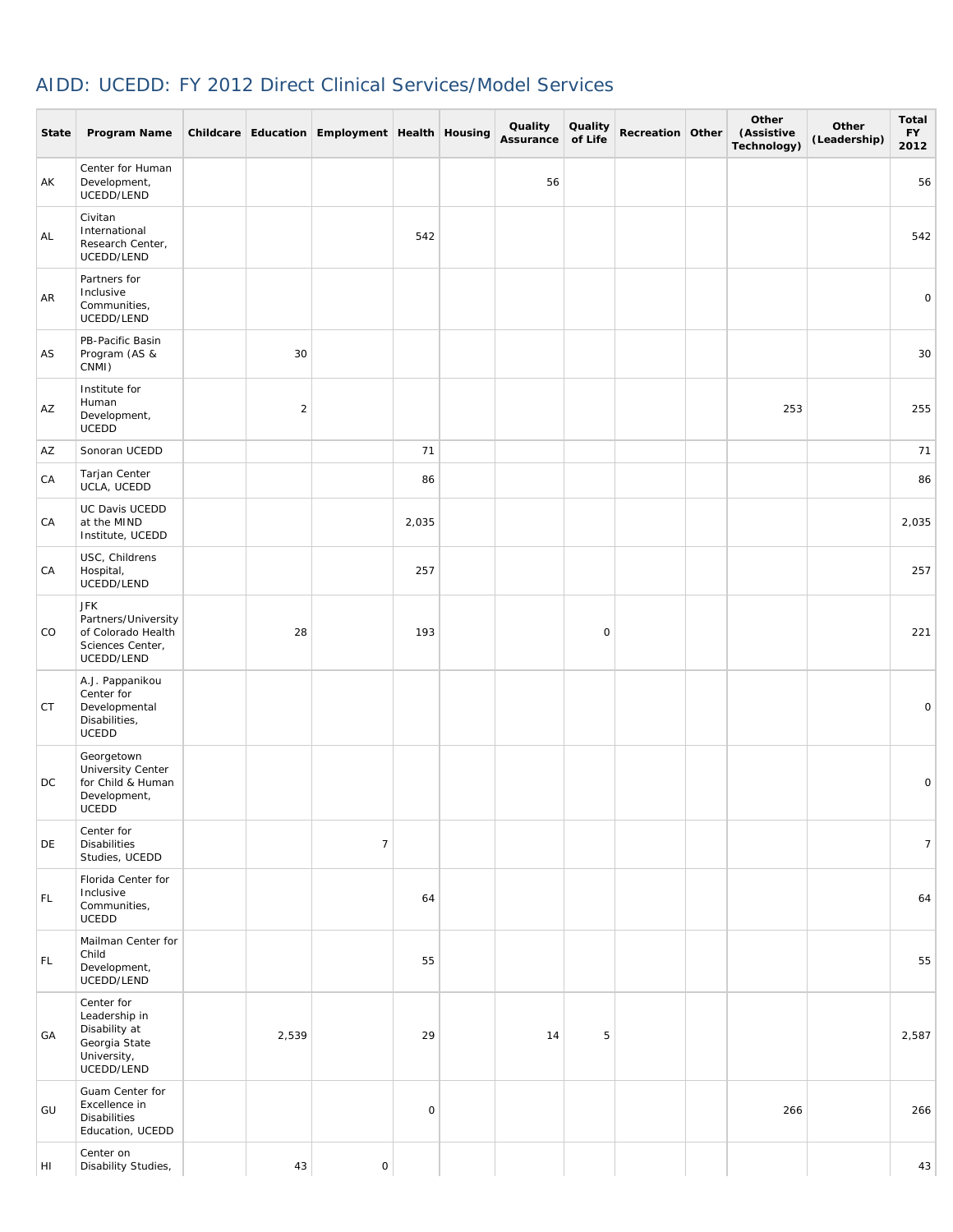## AIDD: UCEDD: FY 2012 Direct Clinical Services/Model Services

**College** 

 $\sim$ 

| <b>State</b> | Program Name                                                                               |                | Childcare Education Employment Health Housing |             | Quality<br>Assurance | Quality<br>of Life | Recreation Other | Other<br>(Assistive<br>Technology) | Other<br>(Leadership) | Total<br><b>FY</b><br>2012 |
|--------------|--------------------------------------------------------------------------------------------|----------------|-----------------------------------------------|-------------|----------------------|--------------------|------------------|------------------------------------|-----------------------|----------------------------|
| AK           | Center for Human<br>Development,<br>UCEDD/LEND                                             |                |                                               |             | 56                   |                    |                  |                                    |                       | 56                         |
| AL           | Civitan<br>International<br>Research Center,<br>UCEDD/LEND                                 |                |                                               | 542         |                      |                    |                  |                                    |                       | 542                        |
| AR           | Partners for<br>Inclusive<br>Communities,<br>UCEDD/LEND                                    |                |                                               |             |                      |                    |                  |                                    |                       | $\circ$                    |
| AS           | PB-Pacific Basin<br>Program (AS &<br>CNMI)                                                 | 30             |                                               |             |                      |                    |                  |                                    |                       | 30                         |
| AZ           | Institute for<br>Human<br>Development,<br>UCEDD                                            | $\overline{2}$ |                                               |             |                      |                    |                  | 253                                |                       | 255                        |
| AZ           | Sonoran UCEDD                                                                              |                |                                               | 71          |                      |                    |                  |                                    |                       | 71                         |
| СA           | Tarjan Center<br>UCLA, UCEDD                                                               |                |                                               | 86          |                      |                    |                  |                                    |                       | 86                         |
| СA           | UC Davis UCEDD<br>at the MIND<br>Institute, UCEDD                                          |                |                                               | 2,035       |                      |                    |                  |                                    |                       | 2,035                      |
| CA           | USC, Childrens<br>Hospital,<br>UCEDD/LEND                                                  |                |                                               | 257         |                      |                    |                  |                                    |                       | 257                        |
| CO           | <b>JFK</b><br>Partners/University<br>of Colorado Health<br>Sciences Center,<br>UCEDD/LEND  | 28             |                                               | 193         |                      | 0                  |                  |                                    |                       | 221                        |
| СT           | A.J. Pappanikou<br>Center for<br>Developmental<br>Disabilities,<br><b>UCEDD</b>            |                |                                               |             |                      |                    |                  |                                    |                       | 0                          |
| DC           | Georgetown<br>University Center<br>for Child & Human<br>Development,<br><b>UCEDD</b>       |                |                                               |             |                      |                    |                  |                                    |                       | $\mathbf 0$                |
| DE           | Center for<br><b>Disabilities</b><br>Studies, UCEDD                                        |                | $\overline{7}$                                |             |                      |                    |                  |                                    |                       | $7\overline{ }$            |
| FL.          | Florida Center for<br>Inclusive<br>Communities,<br>UCEDD                                   |                |                                               | 64          |                      |                    |                  |                                    |                       | 64                         |
| FL.          | Mailman Center for<br>Child<br>Development,<br>UCEDD/LEND                                  |                |                                               | 55          |                      |                    |                  |                                    |                       | 55                         |
| GA           | Center for<br>Leadership in<br>Disability at<br>Georgia State<br>University,<br>UCEDD/LEND | 2,539          |                                               | 29          | 14                   | 5                  |                  |                                    |                       | 2,587                      |
| GU           | Guam Center for<br>Excellence in<br><b>Disabilities</b><br>Education, UCEDD                |                |                                               | $\mathsf O$ |                      |                    |                  | 266                                |                       | 266                        |
| HI           | Center on<br>Disability Studies,                                                           | 43             | $\mathsf{O}\xspace$                           |             |                      |                    |                  |                                    |                       | 43                         |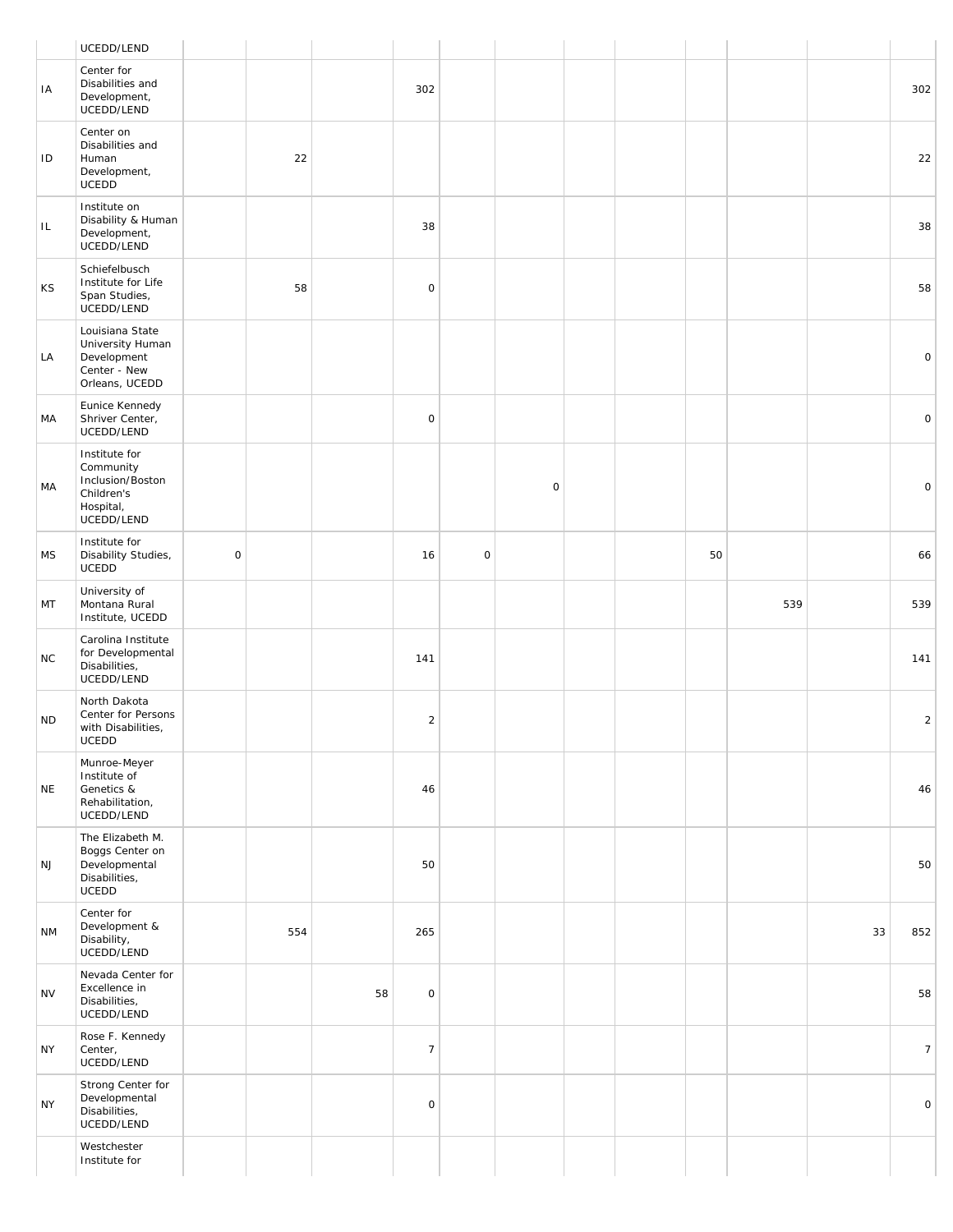| Center for<br>Disabilities and<br>Development,<br>UCEDD/LEND<br>Center on               |                              |     |    |                |                     |                     |  |    |     |    |     |
|-----------------------------------------------------------------------------------------|------------------------------|-----|----|----------------|---------------------|---------------------|--|----|-----|----|-----|
|                                                                                         |                              |     |    | 302            |                     |                     |  |    |     |    | 302 |
| Disabilities and<br>Human<br>Development,<br>UCEDD                                      |                              | 22  |    |                |                     |                     |  |    |     |    | 22  |
| Institute on<br>Disability & Human<br>Development,<br>UCEDD/LEND                        |                              |     |    | 38             |                     |                     |  |    |     |    | 38  |
| Schiefelbusch<br>Institute for Life<br>Span Studies,<br>UCEDD/LEND                      |                              | 58  |    | $\mathsf O$    |                     |                     |  |    |     |    | 58  |
| Louisiana State<br>University Human<br>Development<br>Center - New<br>Orleans, UCEDD    |                              |     |    |                |                     |                     |  |    |     |    |     |
| Eunice Kennedy<br>Shriver Center,<br>UCEDD/LEND                                         |                              |     |    | $\mathsf O$    |                     |                     |  |    |     |    |     |
| Institute for<br>Community<br>Inclusion/Boston<br>Children's<br>Hospital,<br>UCEDD/LEND |                              |     |    |                |                     | $\mathsf{O}\xspace$ |  |    |     |    |     |
| Institute for<br>Disability Studies,<br>UCEDD                                           | $\mathsf O$                  |     |    | 16             | $\mathsf{O}\xspace$ |                     |  | 50 |     |    | 66  |
| University of<br>Montana Rural<br>Institute, UCEDD                                      |                              |     |    |                |                     |                     |  |    | 539 |    | 539 |
| Carolina Institute<br>for Developmental<br>Disabilities,<br>UCEDD/LEND                  |                              |     |    | 141            |                     |                     |  |    |     |    | 141 |
| North Dakota<br>Center for Persons<br>with Disabilities,<br>UCEDD                       |                              |     |    | $\sqrt{2}$     |                     |                     |  |    |     |    |     |
| Munroe-Meyer<br>Institute of<br>Genetics &<br>Rehabilitation,<br>UCEDD/LEND             |                              |     |    | 46             |                     |                     |  |    |     |    | 46  |
| The Elizabeth M.<br>Boggs Center on<br>Developmental<br>Disabilities,<br>UCEDD          |                              |     |    | 50             |                     |                     |  |    |     |    | 50  |
| Center for<br>Development &<br>Disability,<br>UCEDD/LEND                                |                              | 554 |    | 265            |                     |                     |  |    |     | 33 | 852 |
| Nevada Center for<br>Excellence in<br>Disabilities,<br>UCEDD/LEND                       |                              |     | 58 | $\mathsf O$    |                     |                     |  |    |     |    | 58  |
| Rose F. Kennedy<br>Center,<br>UCEDD/LEND                                                |                              |     |    | $\overline{7}$ |                     |                     |  |    |     |    |     |
| Strong Center for<br>Developmental<br>Disabilities,<br>UCEDD/LEND                       |                              |     |    | $\mathsf O$    |                     |                     |  |    |     |    |     |
|                                                                                         | Westchester<br>Institute for |     |    |                |                     |                     |  |    |     |    |     |